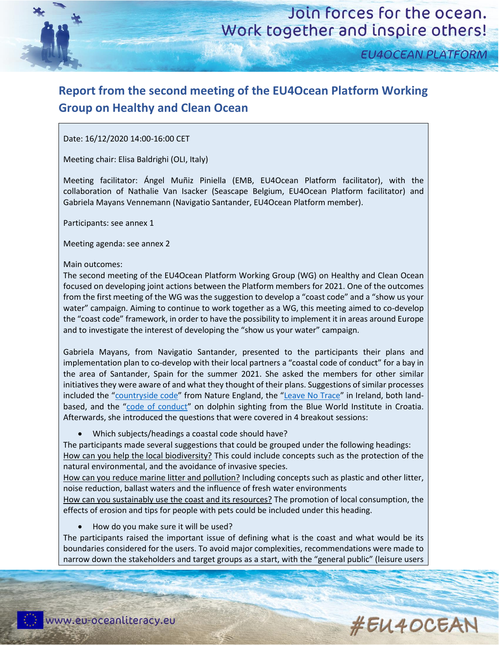

**EU4OCEAN PLATFORM** 

## **Report from the second meeting of the EU4Ocean Platform Working Group on Healthy and Clean Ocean**

#### Date: 16/12/2020 14:00-16:00 CET

Meeting chair: Elisa Baldrighi (OLI, Italy)

Meeting facilitator: Ángel Muñiz Piniella (EMB, EU4Ocean Platform facilitator), with the collaboration of Nathalie Van Isacker (Seascape Belgium, EU4Ocean Platform facilitator) and Gabriela Mayans Vennemann (Navigatio Santander, EU4Ocean Platform member).

Participants: see annex 1

Meeting agenda: see annex 2

Main outcomes:

The second meeting of the EU4Ocean Platform Working Group (WG) on Healthy and Clean Ocean focused on developing joint actions between the Platform members for 2021. One of the outcomes from the first meeting of the WG was the suggestion to develop a "coast code" and a "show us your water" campaign. Aiming to continue to work together as a WG, this meeting aimed to co-develop the "coast code" framework, in order to have the possibility to implement it in areas around Europe and to investigate the interest of developing the "show us your water" campaign.

Gabriela Mayans, from Navigatio Santander, presented to the participants their plans and implementation plan to co-develop with their local partners a "coastal code of conduct" for a bay in the area of Santander, Spain for the summer 2021. She asked the members for other similar initiatives they were aware of and what they thought of their plans. Suggestions of similar processes included the "[countryside code](https://www.gov.uk/government/publications/the-countryside-code)" from Nature England, the "[Leave No Trace](https://www.leavenotraceireland.org/)" in Ireland, both landbased, and the "[code of conduct](https://www.blue-world.org/conservation/dolphin-conservation/code-of-conduct/)" on dolphin sighting from the Blue World Institute in Croatia. Afterwards, she introduced the questions that were covered in 4 breakout sessions:

• Which subjects/headings a coastal code should have?

The participants made several suggestions that could be grouped under the following headings: How can you help the local biodiversity? This could include concepts such as the protection of the natural environmental, and the avoidance of invasive species.

How can you reduce marine litter and pollution? Including concepts such as plastic and other litter, noise reduction, ballast waters and the influence of fresh water environments

How can you sustainably use the coast and its resources? The promotion of local consumption, the effects of erosion and tips for people with pets could be included under this heading.

• How do you make sure it will be used?

The participants raised the important issue of defining what is the coast and what would be its boundaries considered for the users. To avoid major complexities, recommendations were made to narrow down the stakeholders and target groups as a start, with the "general public" (leisure users

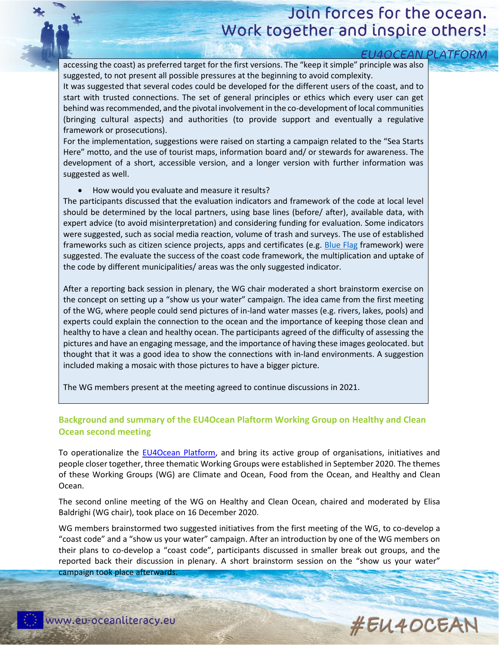## Join forces for the ocean. Work together and inspire others!

| <b>EU4OCEAN PLATFORM</b>                                                                                                                                                                                                                                                                                                                                                                                                                                                                                                                                                                                                                                                                                                                                                                                                                                                                                                                                                     |  |
|------------------------------------------------------------------------------------------------------------------------------------------------------------------------------------------------------------------------------------------------------------------------------------------------------------------------------------------------------------------------------------------------------------------------------------------------------------------------------------------------------------------------------------------------------------------------------------------------------------------------------------------------------------------------------------------------------------------------------------------------------------------------------------------------------------------------------------------------------------------------------------------------------------------------------------------------------------------------------|--|
| accessing the coast) as preferred target for the first versions. The "keep it simple" principle was also<br>suggested, to not present all possible pressures at the beginning to avoid complexity.<br>It was suggested that several codes could be developed for the different users of the coast, and to<br>start with trusted connections. The set of general principles or ethics which every user can get<br>behind was recommended, and the pivotal involvement in the co-development of local communities<br>(bringing cultural aspects) and authorities (to provide support and eventually a regulative<br>framework or prosecutions).<br>For the implementation, suggestions were raised on starting a campaign related to the "Sea Starts<br>Here" motto, and the use of tourist maps, information board and/ or stewards for awareness. The<br>development of a short, accessible version, and a longer version with further information was<br>suggested as well. |  |
| How would you evaluate and measure it results?<br>The participants discussed that the evaluation indicators and framework of the code at local level<br>should be determined by the local partners, using base lines (before/ after), available data, with<br>expert advice (to avoid misinterpretation) and considering funding for evaluation. Some indicators<br>were suggested, such as social media reaction, volume of trash and surveys. The use of established<br>frameworks such as citizen science projects, apps and certificates (e.g. Blue Flag framework) were<br>suggested. The evaluate the success of the coast code framework, the multiplication and uptake of<br>the code by different municipalities/ areas was the only suggested indicator.                                                                                                                                                                                                           |  |
| After a reporting back session in plenary, the WG chair moderated a short brainstorm exercise on<br>the concept on setting up a "show us your water" campaign. The idea came from the first meeting<br>of the WG, where people could send pictures of in-land water masses (e.g. rivers, lakes, pools) and<br>experts could explain the connection to the ocean and the importance of keeping those clean and<br>healthy to have a clean and healthy ocean. The participants agreed of the difficulty of assessing the<br>pictures and have an engaging message, and the importance of having these images geolocated. but<br>thought that it was a good idea to show the connections with in-land environments. A suggestion<br>included making a mosaic with those pictures to have a bigger picture.                                                                                                                                                                      |  |
| The WG members present at the meeting agreed to continue discussions in 2021.                                                                                                                                                                                                                                                                                                                                                                                                                                                                                                                                                                                                                                                                                                                                                                                                                                                                                                |  |

## **Background and summary of the EU4Ocean Plaftorm Working Group on Healthy and Clean Ocean second meeting**

To operationalize the [EU4Ocean Platform,](https://webgate.ec.europa.eu/maritimeforum/en/frontpage/1483) and bring its active group of organisations, initiatives and people closer together, three thematic Working Groups were established in September 2020. The themes of these Working Groups (WG) are Climate and Ocean, Food from the Ocean, and Healthy and Clean Ocean.

The second online meeting of the WG on Healthy and Clean Ocean, chaired and moderated by Elisa Baldrighi (WG chair), took place on 16 December 2020.

WG members brainstormed two suggested initiatives from the first meeting of the WG, to co-develop a "coast code" and a "show us your water" campaign. After an introduction by one of the WG members on their plans to co-develop a "coast code", participants discussed in smaller break out groups, and the reported back their discussion in plenary. A short brainstorm session on the "show us your water" campaign took place afterwards.

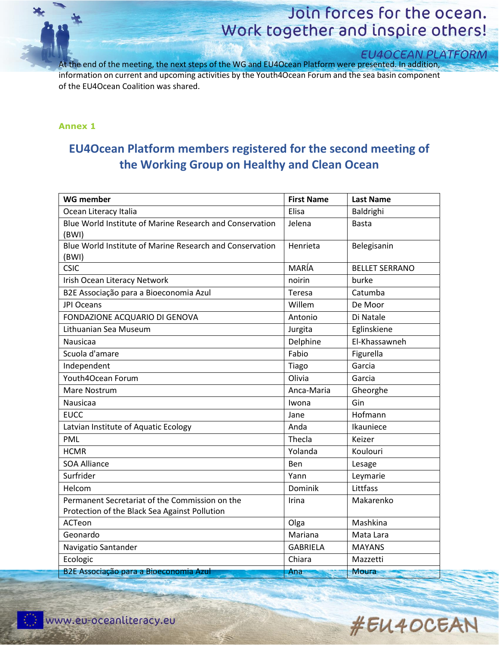

# Join forces for the ocean. Work together and inspire others!

## **EU4OCEAN PLATFORM**

At the end of the meeting, the next steps of the WG and EU4Ocean Platform were presented. In addition, information on current and upcoming activities by the Youth4Ocean Forum and the sea basin component of the EU4Ocean Coalition was shared.

#### **Annex 1**

## **EU4Ocean Platform members registered for the second meeting of the Working Group on Healthy and Clean Ocean**

| <b>WG member</b>                                         | <b>First Name</b> | <b>Last Name</b>      |
|----------------------------------------------------------|-------------------|-----------------------|
| Ocean Literacy Italia                                    | Elisa             | Baldrighi             |
| Blue World Institute of Marine Research and Conservation | Jelena            | <b>Basta</b>          |
| (BWI)                                                    |                   |                       |
| Blue World Institute of Marine Research and Conservation | Henrieta          | Belegisanin           |
| (BWI)                                                    |                   |                       |
| <b>CSIC</b>                                              | MARÍA             | <b>BELLET SERRANO</b> |
| Irish Ocean Literacy Network                             | noirin            | burke                 |
| B2E Associação para a Bioeconomia Azul                   | Teresa            | Catumba               |
| JPI Oceans                                               | Willem            | De Moor               |
| FONDAZIONE ACQUARIO DI GENOVA                            | Antonio           | Di Natale             |
| Lithuanian Sea Museum                                    | Jurgita           | Eglinskiene           |
| <b>Nausicaa</b>                                          | Delphine          | El-Khassawneh         |
| Scuola d'amare                                           | Fabio             | Figurella             |
| Independent                                              | Tiago             | Garcia                |
| Youth4Ocean Forum                                        | Olivia            | Garcia                |
| Mare Nostrum                                             | Anca-Maria        | Gheorghe              |
| Nausicaa                                                 | Iwona             | Gin                   |
| <b>EUCC</b>                                              | Jane              | Hofmann               |
| Latvian Institute of Aquatic Ecology                     | Anda              | Ikauniece             |
| <b>PML</b>                                               | Thecla            | Keizer                |
| <b>HCMR</b>                                              | Yolanda           | Koulouri              |
| <b>SOA Alliance</b>                                      | Ben               | Lesage                |
| Surfrider                                                | Yann              | Leymarie              |
| Helcom                                                   | Dominik           | Littfass              |
| Permanent Secretariat of the Commission on the           | Irina             | Makarenko             |
| Protection of the Black Sea Against Pollution            |                   |                       |
| ACTeon                                                   | Olga              | Mashkina              |
| Geonardo                                                 | Mariana           | Mata Lara             |
| Navigatio Santander                                      | <b>GABRIELA</b>   | <b>MAYANS</b>         |
| Ecologic                                                 | Chiara            | Mazzetti              |
| B2E Associação para a Bioeconomia Azul                   | Ana               | Moura                 |

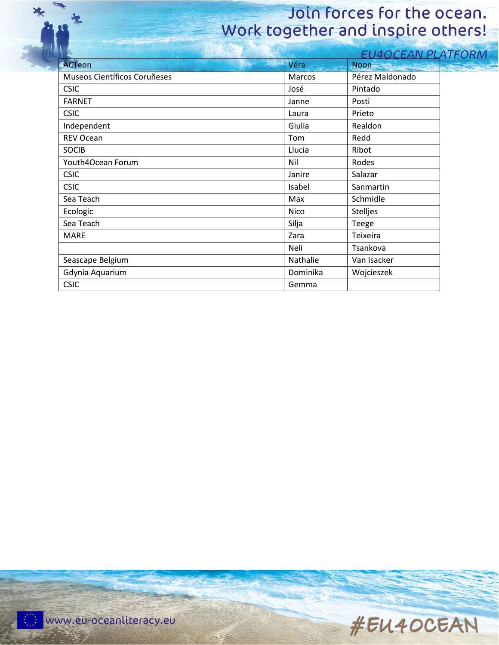# Ъ,

# Join forces for the ocean. Work together and inspire others!

|                                     |          | <b>EU4OCEAN PLATFORM</b> |  |
|-------------------------------------|----------|--------------------------|--|
| <b>ACTeon</b>                       | Véra     | <b>Noon</b>              |  |
| Museos Científicos Coruñeses        | Marcos   | Pérez Maldonado          |  |
| <b>CSIC</b>                         | José     | Pintado                  |  |
| <b>FARNET</b>                       | Janne    | Posti                    |  |
| <b>CSIC</b>                         | Laura    | Prieto                   |  |
| Independent<br>Giulia<br>Realdon    |          |                          |  |
| REV Ocean                           | Tom      | Redd                     |  |
| <b>SOCIB</b>                        | Llucia   | Ribot                    |  |
| Youth4Ocean Forum                   | Nil      | Rodes                    |  |
| <b>CSIC</b>                         | Janire   | Salazar                  |  |
| <b>CSIC</b>                         | Isabel   | Sanmartin                |  |
| Sea Teach                           | Max      | Schmidle                 |  |
| Ecologic<br>Nico<br><b>Stelljes</b> |          |                          |  |
| Sea Teach<br>Silja<br>Teege         |          |                          |  |
| <b>MARE</b>                         | Zara     | Teixeira                 |  |
|                                     | Neli     | Tsankova                 |  |
| Seascape Belgium                    | Nathalie | Van Isacker              |  |
| Gdynia Aquarium                     | Dominika | Wojcieszek               |  |
| <b>CSIC</b>                         | Gemma    |                          |  |
|                                     |          |                          |  |